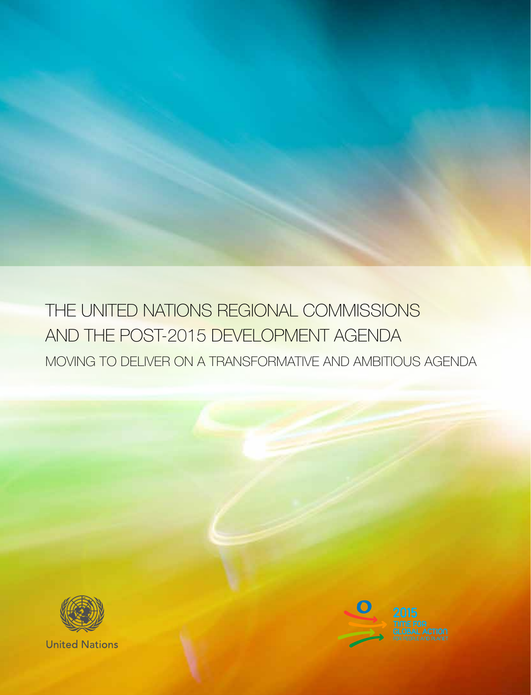THE UNITED NATIONS REGIONAL COMMISSIONS AND THE POST-2015 DEVELOPMENT AGENDA MOVING TO DELIVER ON A TRANSFORMATIVE AND AMBITIOUS AGENDA



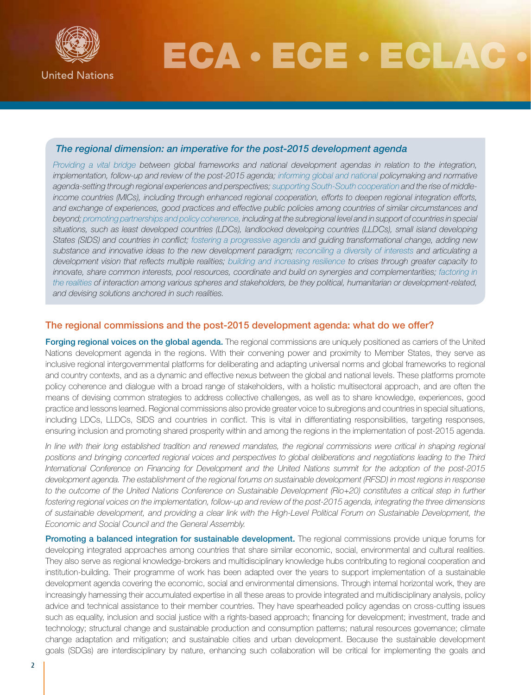

## ECA • ECE • ECLAC •

## *The regional dimension: an imperative for the post-2015 development agenda*

*Providing a vital bridge between global frameworks and national development agendas in relation to the integration,*  implementation, follow-up and review of the post-2015 agenda; informing global and national policymaking and normative *agenda-setting through regional experiences and perspectives; supporting South-South cooperation and the rise of middleincome countries (MICs), including through enhanced regional cooperation, efforts to deepen regional integration efforts, and exchange of experiences, good practices and effective public policies among countries of similar circumstances and beyond; promoting partnerships and policy coherence, including at the subregional level and in support of countries in special situations, such as least developed countries (LDCs), landlocked developing countries (LLDCs), small island developing States (SIDS) and countries in conflict; fostering a progressive agenda and guiding transformational change, adding new substance and innovative ideas to the new development paradigm; reconciling a diversity of interests and articulating a development vision that reflects multiple realities; building and increasing resilience to crises through greater capacity to innovate, share common interests, pool resources, coordinate and build on synergies and complementarities; factoring in the realities of interaction among various spheres and stakeholders, be they political, humanitarian or development-related, and devising solutions anchored in such realities.*

## The regional commissions and the post-2015 development agenda: what do we offer?

Forging regional voices on the global agenda. The regional commissions are uniquely positioned as carriers of the United Nations development agenda in the regions. With their convening power and proximity to Member States, they serve as inclusive regional intergovernmental platforms for deliberating and adapting universal norms and global frameworks to regional and country contexts, and as a dynamic and effective nexus between the global and national levels. These platforms promote policy coherence and dialogue with a broad range of stakeholders, with a holistic multisectoral approach, and are often the means of devising common strategies to address collective challenges, as well as to share knowledge, experiences, good practice and lessons learned. Regional commissions also provide greater voice to subregions and countries in special situations, including LDCs, LLDCs, SIDS and countries in conflict. This is vital in differentiating responsibilities, targeting responses, ensuring inclusion and promoting shared prosperity within and among the regions in the implementation of post-2015 agenda.

In line with their long established tradition and renewed mandates, the regional commissions were critical in shaping regional *positions and bringing concerted regional voices and perspectives to global deliberations and negotiations leading to the Third International Conference on Financing for Development and the United Nations summit for the adoption of the post-2015 development agenda. The establishment of the regional forums on sustainable development (RFSD) in most regions in response to the outcome of the United Nations Conference on Sustainable Development (Rio+20) constitutes a critical step in further fostering regional voices on the implementation, follow-up and review of the post-2015 agenda, integrating the three dimensions of sustainable development, and providing a clear link with the High-Level Political Forum on Sustainable Development, the Economic and Social Council and the General Assembly.* 

Promoting a balanced integration for sustainable development. The regional commissions provide unique forums for developing integrated approaches among countries that share similar economic, social, environmental and cultural realities. They also serve as regional knowledge-brokers and multidisciplinary knowledge hubs contributing to regional cooperation and institution-building. Their programme of work has been adapted over the years to support implementation of a sustainable development agenda covering the economic, social and environmental dimensions. Through internal horizontal work, they are increasingly harnessing their accumulated expertise in all these areas to provide integrated and multidisciplinary analysis, policy advice and technical assistance to their member countries. They have spearheaded policy agendas on cross-cutting issues such as equality, inclusion and social justice with a rights-based approach; financing for development; investment, trade and technology; structural change and sustainable production and consumption patterns; natural resources governance; climate change adaptation and mitigation; and sustainable cities and urban development. Because the sustainable development goals (SDGs) are interdisciplinary by nature, enhancing such collaboration will be critical for implementing the goals and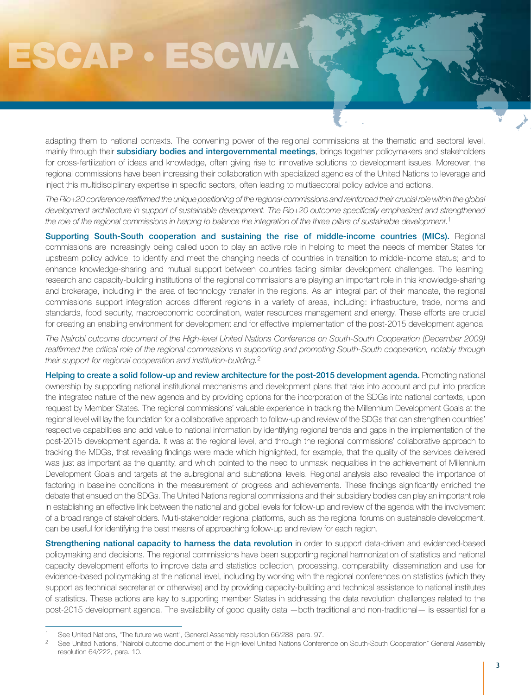## ESCAP • ESCWA

adapting them to national contexts. The convening power of the regional commissions at the thematic and sectoral level, mainly through their subsidiary bodies and intergovernmental meetings, brings together policymakers and stakeholders for cross-fertilization of ideas and knowledge, often giving rise to innovative solutions to development issues. Moreover, the regional commissions have been increasing their collaboration with specialized agencies of the United Nations to leverage and inject this multidisciplinary expertise in specific sectors, often leading to multisectoral policy advice and actions.

*The Rio+20 conference reaffirmed the unique positioning of the regional commissions and reinforced their crucial role within the global development architecture in support of sustainable development. The Rio+20 outcome specifically emphasized and strengthened the role of the regional commissions in helping to balance the integration of the three pillars of sustainable development.*<sup>1</sup>

Supporting South-South cooperation and sustaining the rise of middle-income countries (MICs). Regional commissions are increasingly being called upon to play an active role in helping to meet the needs of member States for upstream policy advice; to identify and meet the changing needs of countries in transition to middle-income status; and to enhance knowledge-sharing and mutual support between countries facing similar development challenges. The learning, research and capacity-building institutions of the regional commissions are playing an important role in this knowledge-sharing and brokerage, including in the area of technology transfer in the regions. As an integral part of their mandate, the regional commissions support integration across different regions in a variety of areas, including: infrastructure, trade, norms and standards, food security, macroeconomic coordination, water resources management and energy. These efforts are crucial for creating an enabling environment for development and for effective implementation of the post-2015 development agenda.

The Nairobi outcome document of the High-level United Nations Conference on South-South Cooperation (December 2009) *reaffirmed the critical role of the regional commissions in supporting and promoting South-South cooperation, notably through their support for regional cooperation and institution-building.*<sup>2</sup>

Helping to create a solid follow-up and review architecture for the post-2015 development agenda. Promoting national ownership by supporting national institutional mechanisms and development plans that take into account and put into practice the integrated nature of the new agenda and by providing options for the incorporation of the SDGs into national contexts, upon request by Member States. The regional commissions' valuable experience in tracking the Millennium Development Goals at the regional level will lay the foundation for a collaborative approach to follow-up and review of the SDGs that can strengthen countries' respective capabilities and add value to national information by identifying regional trends and gaps in the implementation of the post-2015 development agenda. It was at the regional level, and through the regional commissions' collaborative approach to tracking the MDGs, that revealing findings were made which highlighted, for example, that the quality of the services delivered was just as important as the quantity, and which pointed to the need to unmask inequalities in the achievement of Millennium Development Goals and targets at the subregional and subnational levels. Regional analysis also revealed the importance of factoring in baseline conditions in the measurement of progress and achievements. These findings significantly enriched the debate that ensued on the SDGs. The United Nations regional commissions and their subsidiary bodies can play an important role in establishing an effective link between the national and global levels for follow-up and review of the agenda with the involvement of a broad range of stakeholders. Multi-stakeholder regional platforms, such as the regional forums on sustainable development, can be useful for identifying the best means of approaching follow-up and review for each region.

Strengthening national capacity to harness the data revolution in order to support data-driven and evidenced-based policymaking and decisions. The regional commissions have been supporting regional harmonization of statistics and national capacity development efforts to improve data and statistics collection, processing, comparability, dissemination and use for evidence-based policymaking at the national level, including by working with the regional conferences on statistics (which they support as technical secretariat or otherwise) and by providing capacity-building and technical assistance to national institutes of statistics. These actions are key to supporting member States in addressing the data revolution challenges related to the post-2015 development agenda. The availability of good quality data —both traditional and non-traditional— is essential for a

See United Nations, "The future we want", General Assembly resolution 66/288, para. 97.

<sup>2</sup> See United Nations, "Nairobi outcome document of the High-level United Nations Conference on South-South Cooperation" General Assembly resolution 64/222, para. 10.